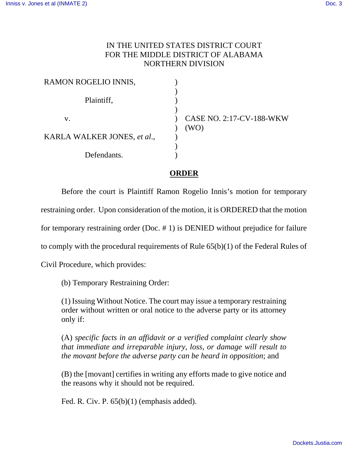## IN THE UNITED STATES DISTRICT COURT FOR THE MIDDLE DISTRICT OF ALABAMA NORTHERN DIVISION

| RAMON ROGELIO INNIS,        |                                  |
|-----------------------------|----------------------------------|
| Plaintiff,                  |                                  |
| V.                          | CASE NO. 2:17-CV-188-WKW<br>(WO) |
| KARLA WALKER JONES, et al., |                                  |
| Defendants.                 |                                  |

## **ORDER**

 Before the court is Plaintiff Ramon Rogelio Innis's motion for temporary restraining order. Upon consideration of the motion, it is ORDERED that the motion for temporary restraining order (Doc. # 1) is DENIED without prejudice for failure to comply with the procedural requirements of Rule 65(b)(1) of the Federal Rules of Civil Procedure, which provides:

(b) Temporary Restraining Order:

(1) Issuing Without Notice. The court may issue a temporary restraining order without written or oral notice to the adverse party or its attorney only if:

(A) *specific facts in an affidavit or a verified complaint clearly show that immediate and irreparable injury, loss, or damage will result to the movant before the adverse party can be heard in opposition*; and

(B) the [movant] certifies in writing any efforts made to give notice and the reasons why it should not be required.

Fed. R. Civ. P.  $65(b)(1)$  (emphasis added).